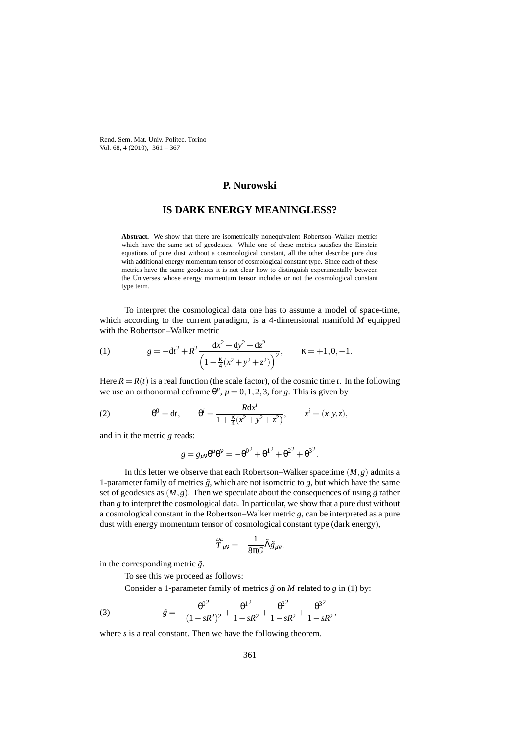Rend. Sem. Mat. Univ. Politec. Torino Vol. 68, 4 (2010), 361 – 367

## **P. Nurowski**

## **IS DARK ENERGY MEANINGLESS?**

**Abstract.** We show that there are isometrically nonequivalent Robertson–Walker metrics which have the same set of geodesics. While one of these metrics satisfies the Einstein equations of pure dust without a cosmoological constant, all the other describe pure dust with additional energy momentum tensor of cosmological constant type. Since each of these metrics have the same geodesics it is not clear how to distinguish experimentally between the Universes whose energy momentum tensor includes or not the cosmological constant type term.

To interpret the cosmological data one has to assume a model of space-time, which according to the current paradigm, is a 4-dimensional manifold *M* equipped with the Robertson–Walker metric

(1) 
$$
g = -dt^2 + R^2 \frac{dx^2 + dy^2 + dz^2}{\left(1 + \frac{\kappa}{4}(x^2 + y^2 + z^2)\right)^2}, \qquad \kappa = +1, 0, -1.
$$

Here  $R = R(t)$  is a real function (the scale factor), of the cosmic time *t*. In the following we use an orthonormal coframe  $\theta^{\mu}$ ,  $\mu = 0, 1, 2, 3$ , for *g*. This is given by

(2) 
$$
\theta^{0} = dt, \qquad \theta^{i} = \frac{Rdx^{i}}{1 + \frac{\kappa}{4}(x^{2} + y^{2} + z^{2})}, \qquad x^{i} = (x, y, z),
$$

and in it the metric *g* reads:

$$
g = g_{\mu\nu}\theta^{\mu}\theta^{\nu} = -\theta^{0^2} + {\theta^1}^2 + {\theta^2}^2 + {\theta^3}^2.
$$

In this letter we observe that each Robertson–Walker spacetime  $(M, g)$  admits a 1-parameter family of metrics  $\tilde{g}$ , which are not isometric to  $g$ , but which have the same set of geodesics as  $(M, g)$ . Then we speculate about the consequences of using  $\tilde{g}$  rather than *g* to interpret the cosmological data. In particular, we show that a pure dust without a cosmological constant in the Robertson–Walker metric *g*, can be interpreted as a pure dust with energy momentum tensor of cosmological constant type (dark energy),

$$
{\mathop{T}\limits^{\scriptscriptstyle{DE}}}_{\scriptscriptstyle{\mu\nu}}=-\frac{1}{8\pi G}\tilde{\Lambda}\tilde{g}_{\mu\nu},
$$

in the corresponding metric  $\tilde{g}$ .

To see this we proceed as follows:

Consider a 1-parameter family of metrics  $\tilde{g}$  on *M* related to *g* in (1) by:

(3) 
$$
\tilde{g} = -\frac{\theta^{0^2}}{(1 - sR^2)^2} + \frac{\theta^{1^2}}{1 - sR^2} + \frac{\theta^{2^2}}{1 - sR^2} + \frac{\theta^{3^2}}{1 - sR^2},
$$

where *s* is a real constant. Then we have the following theorem.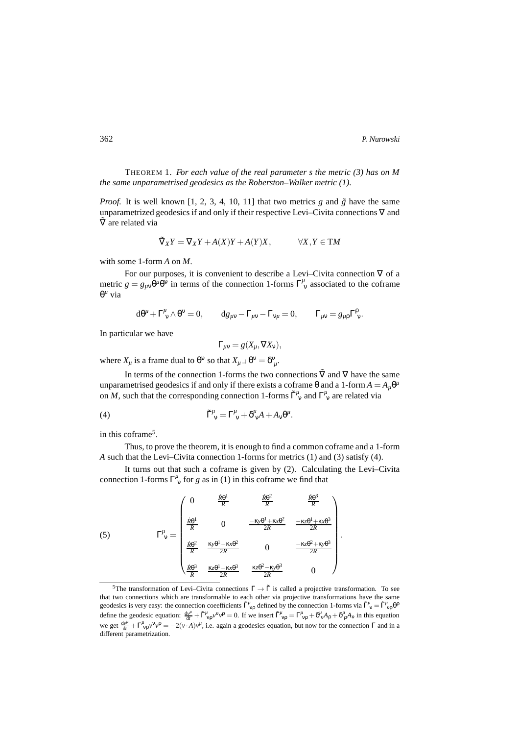362 P. Nurowski

THEOREM 1. *For each value of the real parameter s the metric (3) has on M the same unparametrised geodesics as the Roberston–Walker metric (1).*

*Proof.* It is well known [1, 2, 3, 4, 10, 11] that two metrics  $g$  and  $\tilde{g}$  have the same unparametrized geodesics if and only if their respective Levi–Civita connections ∇ and ∇˜ are related via

$$
\tilde{\nabla}_X Y = \nabla_X Y + A(X)Y + A(Y)X, \qquad \forall X, Y \in \mathsf{T}M
$$

with some 1-form *A* on *M*.

For our purposes, it is convenient to describe a Levi–Civita connection  $\nabla$  of a metric  $g = g_{\mu\nu} \dot{\theta}^{\mu} \theta^{\nu}$  in terms of the connection 1-forms  $\Gamma^{\mu}_{\nu}$  associated to the coframe θ *<sup>µ</sup>* via

$$
d\theta^{\mu}+\Gamma^{\mu}_{\ \nu}\wedge\theta^{\nu}=0,\qquad dg_{\mu\nu}-\Gamma_{\mu\nu}-\Gamma_{\nu\mu}=0,\qquad \Gamma_{\mu\nu}=g_{\mu\rho}\Gamma^{\rho}_{\ \nu}.
$$

In particular we have

$$
\Gamma_{\mu\nu} = g(X_{\mu}, \nabla X_{\nu}),
$$

where  $X_\mu$  is a frame dual to  $\theta^\nu$  so that  $X_\mu \perp \theta^\nu = \delta^\nu{}_\mu$ .

In terms of the connection 1-forms the two connections  $\tilde{\nabla}$  and  $\nabla$  have the same unparametrised geodesics if and only if there exists a coframe  $\theta$  and a 1-form  $A = A_{\mu} \theta^{\mu}$ on *M*, such that the corresponding connection 1-forms  $\tilde{\Gamma}^{\mu}_{\nu}$  and  $\Gamma^{\mu}_{\nu}$  are related via

(4) 
$$
\tilde{\Gamma}^{\mu}_{\ \nu} = \Gamma^{\mu}_{\ \nu} + \delta^{\mu}_{\ \nu}A + A_{\nu}\theta^{\mu}.
$$

in this coframe<sup>5</sup>.

Thus, to prove the theorem, it is enough to find a common coframe and a 1-form *A* such that the Levi–Civita connection 1-forms for metrics (1) and (3) satisfy (4).

It turns out that such a coframe is given by (2). Calculating the Levi–Civita connection 1-forms  $\Gamma^{\mu}_{\nu}$  for *g* as in (1) in this coframe we find that

(5) 
$$
\Gamma_V^{\mu} = \begin{pmatrix} 0 & \frac{\dot{R}\theta^1}{R} & \frac{\dot{R}\theta^2}{R} & \frac{\dot{R}\theta^3}{R} \\ \frac{R\theta^1}{R} & 0 & \frac{-\kappa y \theta^1 + \kappa x \theta^2}{2R} & \frac{-\kappa z \theta^1 + \kappa x \theta^3}{2R} \\ \frac{\dot{R}\theta^2}{R} & \frac{\kappa y \theta^1 - \kappa x \theta^2}{2R} & 0 & \frac{-\kappa z \theta^2 + \kappa y \theta^3}{2R} \\ \frac{\dot{R}\theta^3}{R} & \frac{\kappa z \theta^1 - \kappa x \theta^3}{2R} & \frac{\kappa z \theta^2 - \kappa y \theta^3}{2R} & 0 \end{pmatrix}.
$$

<sup>&</sup>lt;sup>5</sup>The transformation of Levi–Civita connections  $\Gamma \to \tilde{\Gamma}$  is called a projective transformation. To see that two connections which are transformable to each other via projective transformations have the same geodesics is very easy: the connection coeefficients  $\tilde{\Gamma}^{\mu}_{v\rho}$  defined by the connection 1-forms via  $\tilde{\Gamma}^{\mu}_{v} = \tilde{\Gamma}^{\mu}_{v\rho} \theta^{\rho}$ define the geodesic equation:  $\frac{d v^{\mu}}{dt} + \tilde{\Gamma}^{\mu}_{vp} v^{\nu} v^{\rho} = 0$ . If we insert  $\tilde{\Gamma}^{\mu}_{vp} = \Gamma^{\mu}_{vp} + \delta^{\mu}_{v} A_{\rho} + \delta^{\mu}_{p} A_{v}$  in this equation we get  $\frac{d v^{\mu}}{dt} + \Gamma^{\mu}_{\nu \rho} v^{\nu} v^{\rho} = -2(v \cdot A) v^{\mu}$ , i.e. again a geodesics equation, but now for the connection Γ and in a different parametrization.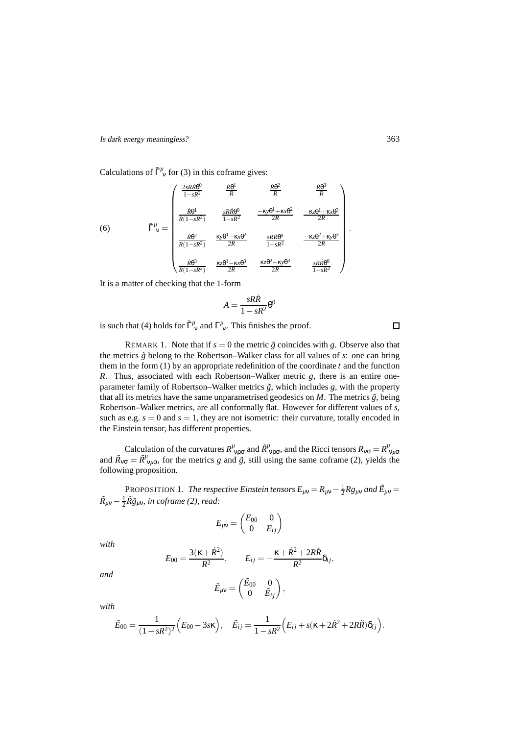Calculations of  $\tilde{\Gamma}_{v}^{\mu}$  for (3) in this coframe gives:

$$
\tilde{\Gamma}^{\mu}_{\nu} = \begin{pmatrix}\n\frac{2sR\dot{R}\theta^{0}}{1-sR^{2}} & \frac{\dot{R}\theta^{1}}{R} & \frac{\dot{R}\theta^{2}}{R} & \frac{\dot{R}\theta^{3}}{R} \\
\frac{\dot{R}\theta^{1}}{R(1-sR^{2})} & \frac{sR\dot{R}\theta^{0}}{1-sR^{2}} & \frac{-\kappa y\theta^{1}+\kappa x\theta^{2}}{2R} & \frac{-\kappa z\theta^{1}+\kappa x\theta^{3}}{2R} \\
\frac{\dot{R}\theta^{2}}{R(1-sR^{2})} & \frac{\kappa y\theta^{1}-\kappa x\theta^{2}}{2R} & \frac{sR\dot{R}\theta^{0}}{1-sR^{2}} & \frac{-\kappa z\theta^{2}+\kappa y\theta^{3}}{2R} \\
\frac{\dot{R}\theta^{3}}{R(1-sR^{2})} & \frac{\kappa z\theta^{1}-\kappa x\theta^{3}}{2R} & \frac{\kappa z\theta^{2}-\kappa y\theta^{3}}{2R} & \frac{sR\dot{R}\theta^{0}}{1-sR^{2}}\n\end{pmatrix}
$$

It is a matter of checking that the 1-form

$$
A = \frac{sR\dot{R}}{1 - sR^2} \theta^0
$$

is such that (4) holds for  $\tilde{\Gamma}^{\mu}_{\nu}$  and  $\Gamma^{\mu}_{\nu}$ . This finishes the proof.

REMARK 1. Note that if  $s = 0$  the metric  $\tilde{g}$  coincides with g. Observe also that the metrics  $\tilde{g}$  belong to the Robertson–Walker class for all values of  $s$ : one can bring them in the form  $(1)$  by an appropriate redefinition of the coordinate  $t$  and the function *R*. Thus, associated with each Robertson–Walker metric *g*, there is an entire oneparameter family of Robertson–Walker metrics  $\tilde{g}$ , which includes  $g$ , with the property that all its metrics have the same unparametrised geodesics on  $M$ . The metrics  $\tilde{g}$ , being Robertson–Walker metrics, are all conformally flat. However for different values of *s*, such as e.g.  $s = 0$  and  $s = 1$ , they are not isometric: their curvature, totally encoded in the Einstein tensor, has different properties.

Calculation of the curvatures  $R^{\mu}_{\nu\rho\sigma}$  and  $\tilde{R}^{\mu}_{\nu\rho\sigma}$ , and the Ricci tensors  $R_{\nu\sigma} = R^{\mu}_{\nu\mu\sigma}$ <br>and  $\tilde{R}_{\nu\sigma} = \tilde{R}^{\mu}_{\nu\mu\sigma}$ , for the metrics g and  $\tilde{g}$ , still using the same coframe (2), yie following proposition.

PROPOSITION 1. *The respective Einstein tensors*  $E_{\mu\nu} = R_{\mu\nu} - \frac{1}{2}Rg_{\mu\nu}$  and  $\tilde{E}_{\mu\nu} =$  $\tilde{R}_{\mu\nu} - \frac{1}{2} \tilde{R} \tilde{g}_{\mu\nu}$ *, in coframe (2), read:* 

$$
E_{\mu\nu} = \begin{pmatrix} E_{00} & 0 \\ 0 & E_{ij} \end{pmatrix}
$$

*with*

$$
E_{00} = \frac{3(\kappa + \dot{R}^2)}{R^2}, \qquad E_{ij} = -\frac{\kappa + \dot{R}^2 + 2R\ddot{R}}{R^2} \delta_{ij},
$$

*and*

$$
\tilde{E}_{\mu\nu} = \begin{pmatrix} \tilde{E}_{00} & 0 \\ 0 & \tilde{E}_{ij} \end{pmatrix},
$$

*with*

$$
\tilde{E}_{00} = \frac{1}{(1 - sR^2)^2} (E_{00} - 3s\kappa), \quad \tilde{E}_{ij} = \frac{1}{1 - sR^2} (E_{ij} + s(\kappa + 2\dot{R}^2 + 2R\ddot{R})\delta_{ij}).
$$

 $\Box$ 

.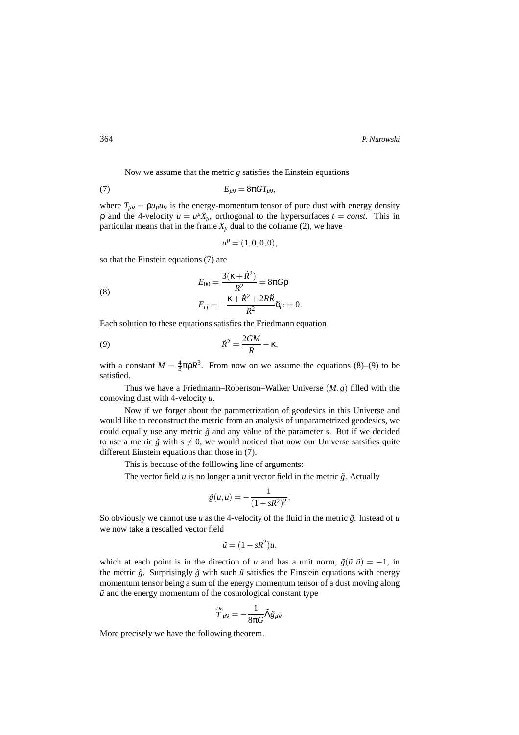Now we assume that the metric *g* satisfies the Einstein equations

$$
(7) \t\t\t E_{\mu\nu} = 8\pi G T_{\mu\nu},
$$

where  $T_{\mu\nu} = \rho u_{\mu} u_{\nu}$  is the energy-momentum tensor of pure dust with energy density  $\rho$  and the 4-velocity  $u = u^{\mu} X_{\mu}$ , orthogonal to the hypersurfaces  $t = const$ . This in particular means that in the frame  $X_\mu$  dual to the coframe (2), we have

$$
u^{\mu} = (1,0,0,0),
$$

so that the Einstein equations (7) are

(8) 
$$
E_{00} = \frac{3(\kappa + \dot{R}^2)}{R^2} = 8\pi G \rho
$$

$$
E_{ij} = -\frac{\kappa + \dot{R}^2 + 2R\ddot{R}}{R^2} \delta_{ij} = 0.
$$

Each solution to these equations satisfies the Friedmann equation

(9) 
$$
\dot{R}^2 = \frac{2GM}{R} - \kappa,
$$

with a constant  $M = \frac{4}{3}\pi \rho R^3$ . From now on we assume the equations (8)–(9) to be satisfied.

Thus we have a Friedmann–Robertson–Walker Universe (*M*,*g*) filled with the comoving dust with 4-velocity *u*.

Now if we forget about the parametrization of geodesics in this Universe and would like to reconstruct the metric from an analysis of unparametrized geodesics, we could equally use any metric  $\tilde{g}$  and any value of the parameter *s*. But if we decided to use a metric  $\tilde{g}$  with  $s \neq 0$ , we would noticed that now our Universe satsifies quite different Einstein equations than those in (7).

This is because of the folllowing line of arguments:

The vector field  $u$  is no longer a unit vector field in the metric  $\tilde{g}$ . Actually

$$
\tilde{g}(u,u)=-\frac{1}{(1-sR^2)^2}.
$$

So obviously we cannot use *u* as the 4-velocity of the fluid in the metric  $\tilde{g}$ . Instead of *u* we now take a rescalled vector field

$$
\tilde{u}=(1-sR^2)u,
$$

which at each point is in the direction of *u* and has a unit norm,  $\tilde{g}(\tilde{u}, \tilde{u}) = -1$ , in the metric  $\tilde{g}$ . Surprisingly  $\tilde{g}$  with such  $\tilde{u}$  satisfies the Einstein equations with energy momentum tensor being a sum of the energy momentum tensor of a dust moving along  $\tilde{u}$  and the energy momentum of the cosmological constant type

$$
\overset{\scriptscriptstyle{\smash{DE}}}{T}_{\mu\nu}=-\frac{1}{8\pi G}\tilde{\Lambda}\tilde{g}_{\mu\nu}.
$$

More precisely we have the following theorem.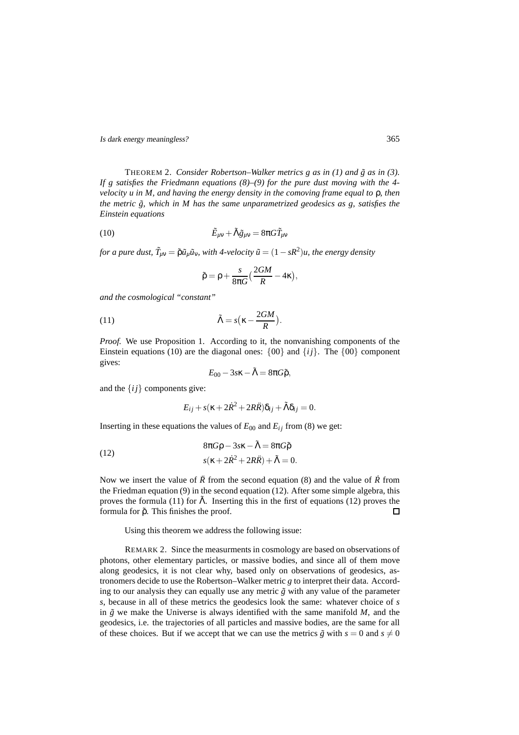Is dark energy meaningless? 365

THEOREM 2. *Consider Robertson–Walker metrics g as in (1) and*  $\tilde{g}$  *as in (3). If g satisfies the Friedmann equations (8)–(9) for the pure dust moving with the 4 velocity u in M, and having the energy density in the comoving frame equal to* ρ*, then the metric*  $\tilde{g}$ , which in M has the same unparametrized geodesics as g, satisfies the *Einstein equations*

(10) 
$$
\tilde{E}_{\mu\nu} + \tilde{\Lambda}\tilde{g}_{\mu\nu} = 8\pi G \tilde{T}_{\mu\nu}
$$

*for a pure dust,*  $\tilde{T}_{\mu\nu} = \tilde{\rho} \tilde{u}_{\mu} \tilde{u}_{\nu}$ *, with 4-velocity*  $\tilde{u} = (1 - sR^2)u$ *, the energy density* 

$$
\tilde{\rho} = \rho + \frac{s}{8\pi G} \left( \frac{2GM}{R} - 4\kappa \right),
$$

*and the cosmological "constant"*

(11) 
$$
\tilde{\Lambda} = s(\kappa - \frac{2GM}{R}).
$$

*Proof.* We use Proposition 1. According to it, the nonvanishing components of the Einstein equations (10) are the diagonal ones:  $\{00\}$  and  $\{ij\}$ . The  $\{00\}$  component gives:

$$
E_{00}-3s\kappa-\tilde{\Lambda}=8\pi G\tilde{\rho},
$$

and the  $\{ij\}$  components give:

$$
E_{ij} + s(\kappa + 2\dot{R}^2 + 2R\ddot{R})\delta_{ij} + \tilde{\Lambda}\delta_{ij} = 0.
$$

Inserting in these equations the values of  $E_{00}$  and  $E_{ij}$  from (8) we get:

(12) 
$$
8\pi G\rho - 3s\kappa - \tilde{\Lambda} = 8\pi G\tilde{\rho}
$$

$$
s(\kappa + 2\dot{R}^2 + 2R\ddot{R}) + \tilde{\Lambda} = 0.
$$

Now we insert the value of  $\ddot{R}$  from the second equation (8) and the value of  $\dot{R}$  from the Friedman equation (9) in the second equation (12). After some simple algebra, this proves the formula (11) for  $\tilde{\Lambda}$ . Inserting this in the first of equations (12) proves the formula for  $ρ̃$ . This finishes the proof.  $\Box$ 

Using this theorem we address the following issue:

REMARK 2. Since the measurments in cosmology are based on observations of photons, other elementary particles, or massive bodies, and since all of them move along geodesics, it is not clear why, based only on observations of geodesics, astronomers decide to use the Robertson–Walker metric *g* to interpret their data. According to our analysis they can equally use any metric  $\tilde{g}$  with any value of the parameter *s*, because in all of these metrics the geodesics look the same: whatever choice of *s* in  $\tilde{g}$  we make the Universe is always identified with the same manifold  $M$ , and the geodesics, i.e. the trajectories of all particles and massive bodies, are the same for all of these choices. But if we accept that we can use the metrics  $\tilde{g}$  with  $s = 0$  and  $s \neq 0$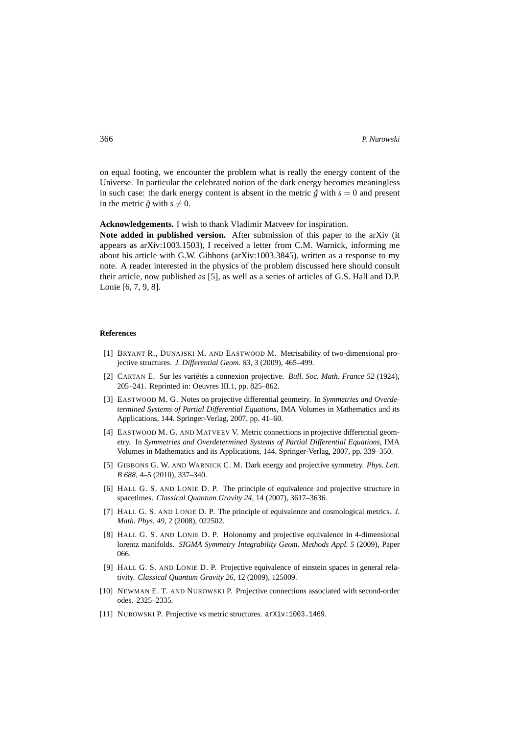on equal footing, we encounter the problem what is really the energy content of the Universe. In particular the celebrated notion of the dark energy becomes meaningless in such case: the dark energy content is absent in the metric  $\tilde{g}$  with  $s = 0$  and present in the metric  $\tilde{g}$  with  $s \neq 0$ .

**Acknowledgements.** I wish to thank Vladimir Matveev for inspiration.

**Note added in published version.** After submission of this paper to the arXiv (it appears as arXiv:1003.1503), I received a letter from C.M. Warnick, informing me about his article with G.W. Gibbons (arXiv:1003.3845), written as a response to my note. A reader interested in the physics of the problem discussed here should consult their article, now published as [5], as well as a series of articles of G.S. Hall and D.P. Lonie [6, 7, 9, 8].

## **References**

- [1] BRYANT R., DUNAJSKI M. AND EASTWOOD M. Metrisability of two-dimensional projective structures. *J. Differential Geom. 83*, 3 (2009), 465–499.
- [2] CARTAN E. Sur les variétés a connexion projective. *Bull. Soc. Math. France 52* (1924), 205–241. Reprinted in: Oeuvres III.1, pp. 825–862.
- [3] EASTWOOD M. G. Notes on projective differential geometry. In *Symmetries and Overdetermined Systems of Partial Differential Equations*, IMA Volumes in Mathematics and its Applications, 144. Springer-Verlag, 2007, pp. 41–60.
- [4] EASTWOOD M. G. AND MATVEEV V. Metric connections in projective differential geometry. In *Symmetries and Overdetermined Systems of Partial Differential Equations*, IMA Volumes in Mathematics and its Applications, 144. Springer-Verlag, 2007, pp. 339–350.
- [5] GIBBONS G. W. AND WARNICK C. M. Dark energy and projective symmetry. *Phys. Lett. B 688*, 4–5 (2010), 337–340.
- [6] HALL G. S. AND LONIE D. P. The principle of equivalence and projective structure in spacetimes. *Classical Quantum Gravity 24*, 14 (2007), 3617–3636.
- [7] HALL G. S. AND LONIE D. P. The principle of equivalence and cosmological metrics. *J. Math. Phys. 49*, 2 (2008), 022502.
- [8] HALL G. S. AND LONIE D. P. Holonomy and projective equivalence in 4-dimensional lorentz manifolds. *SIGMA Symmetry Integrability Geom. Methods Appl. 5* (2009), Paper 066.
- [9] HALL G. S. AND LONIE D. P. Projective equivalence of einstein spaces in general relativity. *Classical Quantum Gravity 26*, 12 (2009), 125009.
- [10] NEWMAN E. T. AND NUROWSKI P. Projective connections associated with second-order odes. 2325–2335.
- [11] NUROWSKI P. Projective vs metric structures. arXiv:1003.1469.